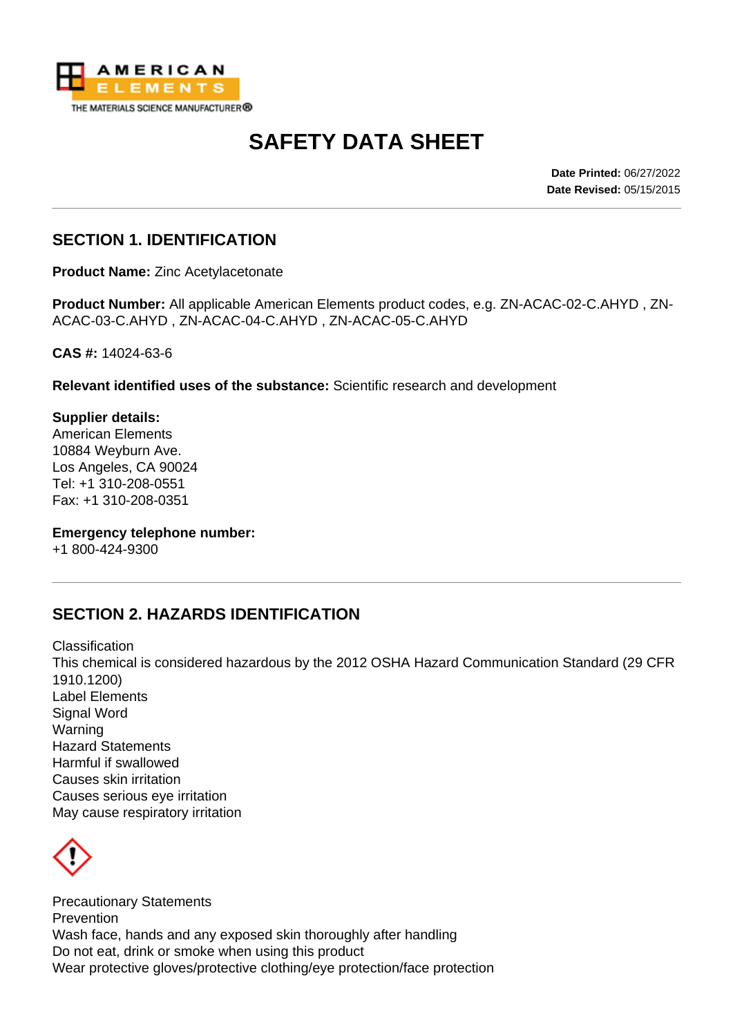

# **SAFETY DATA SHEET**

**Date Printed:** 06/27/2022 **Date Revised:** 05/15/2015

#### **SECTION 1. IDENTIFICATION**

**Product Name:** Zinc Acetylacetonate

**Product Number:** All applicable American Elements product codes, e.g. ZN-ACAC-02-C.AHYD , ZN-ACAC-03-C.AHYD , ZN-ACAC-04-C.AHYD , ZN-ACAC-05-C.AHYD

**CAS #:** 14024-63-6

**Relevant identified uses of the substance:** Scientific research and development

**Supplier details:** American Elements 10884 Weyburn Ave. Los Angeles, CA 90024 Tel: +1 310-208-0551 Fax: +1 310-208-0351

**Emergency telephone number:**

+1 800-424-9300

# **SECTION 2. HAZARDS IDENTIFICATION**

Classification This chemical is considered hazardous by the 2012 OSHA Hazard Communication Standard (29 CFR 1910.1200) Label Elements Signal Word Warning Hazard Statements Harmful if swallowed Causes skin irritation Causes serious eye irritation May cause respiratory irritation



Precautionary Statements **Prevention** Wash face, hands and any exposed skin thoroughly after handling Do not eat, drink or smoke when using this product Wear protective gloves/protective clothing/eye protection/face protection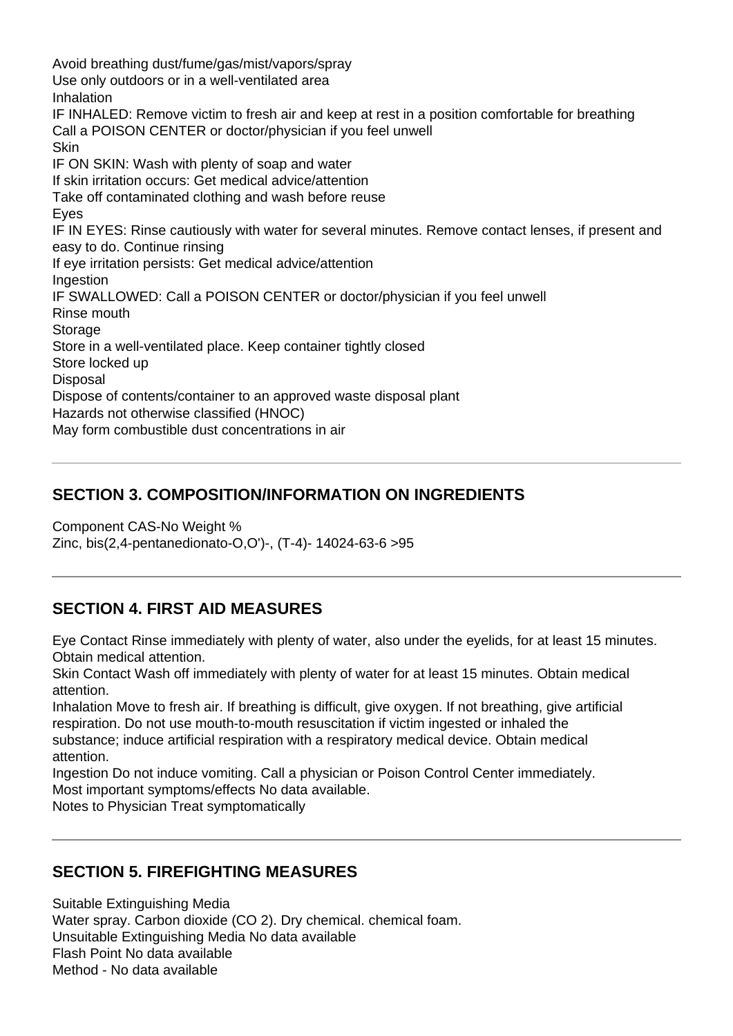Avoid breathing dust/fume/gas/mist/vapors/spray Use only outdoors or in a well-ventilated area **Inhalation** IF INHALED: Remove victim to fresh air and keep at rest in a position comfortable for breathing Call a POISON CENTER or doctor/physician if you feel unwell **Skin** IF ON SKIN: Wash with plenty of soap and water If skin irritation occurs: Get medical advice/attention Take off contaminated clothing and wash before reuse Eyes IF IN EYES: Rinse cautiously with water for several minutes. Remove contact lenses, if present and easy to do. Continue rinsing If eye irritation persists: Get medical advice/attention **Ingestion** IF SWALLOWED: Call a POISON CENTER or doctor/physician if you feel unwell Rinse mouth **Storage** Store in a well-ventilated place. Keep container tightly closed Store locked up **Disposal** Dispose of contents/container to an approved waste disposal plant Hazards not otherwise classified (HNOC) May form combustible dust concentrations in air

# **SECTION 3. COMPOSITION/INFORMATION ON INGREDIENTS**

Component CAS-No Weight % Zinc, bis(2,4-pentanedionato-O,O')-, (T-4)- 14024-63-6 >95

# **SECTION 4. FIRST AID MEASURES**

Eye Contact Rinse immediately with plenty of water, also under the eyelids, for at least 15 minutes. Obtain medical attention.

Skin Contact Wash off immediately with plenty of water for at least 15 minutes. Obtain medical attention.

Inhalation Move to fresh air. If breathing is difficult, give oxygen. If not breathing, give artificial respiration. Do not use mouth-to-mouth resuscitation if victim ingested or inhaled the substance; induce artificial respiration with a respiratory medical device. Obtain medical attention.

Ingestion Do not induce vomiting. Call a physician or Poison Control Center immediately. Most important symptoms/effects No data available.

Notes to Physician Treat symptomatically

#### **SECTION 5. FIREFIGHTING MEASURES**

Suitable Extinguishing Media Water spray. Carbon dioxide (CO 2). Dry chemical. chemical foam. Unsuitable Extinguishing Media No data available Flash Point No data available Method - No data available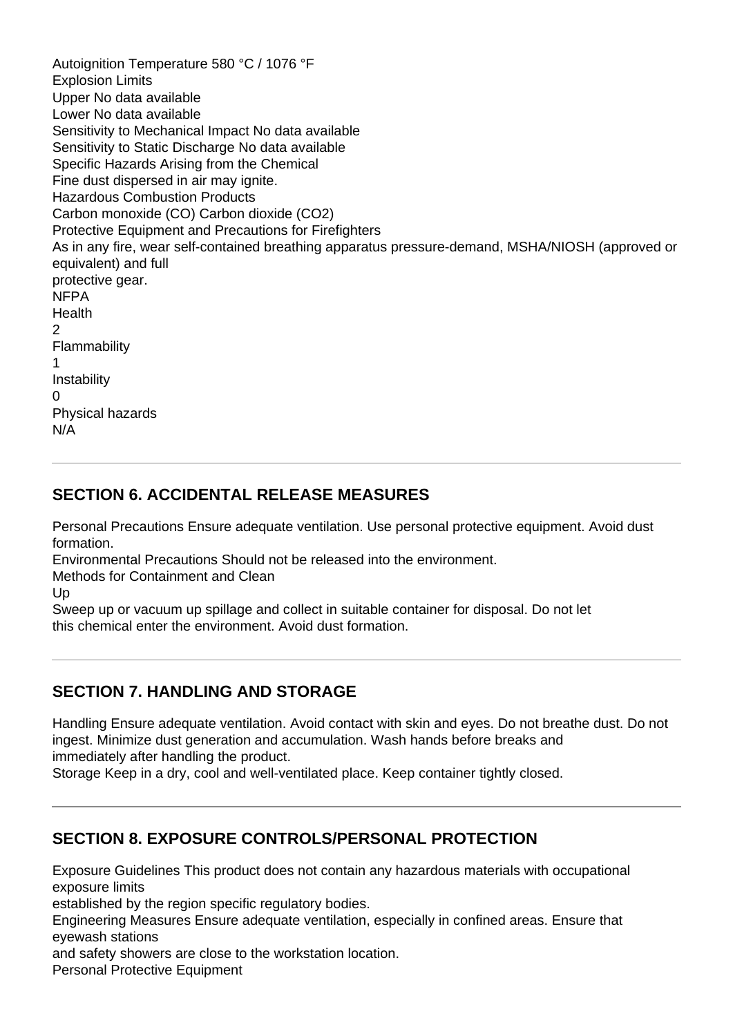Autoignition Temperature 580 °C / 1076 °F Explosion Limits Upper No data available Lower No data available Sensitivity to Mechanical Impact No data available Sensitivity to Static Discharge No data available Specific Hazards Arising from the Chemical Fine dust dispersed in air may ignite. Hazardous Combustion Products Carbon monoxide (CO) Carbon dioxide (CO2) Protective Equipment and Precautions for Firefighters As in any fire, wear self-contained breathing apparatus pressure-demand, MSHA/NIOSH (approved or equivalent) and full protective gear. NFPA **Health**  $\overline{2}$ Flammability 1 Instability 0 Physical hazards N/A

#### **SECTION 6. ACCIDENTAL RELEASE MEASURES**

Personal Precautions Ensure adequate ventilation. Use personal protective equipment. Avoid dust formation.

Environmental Precautions Should not be released into the environment.

Methods for Containment and Clean

Up

Sweep up or vacuum up spillage and collect in suitable container for disposal. Do not let this chemical enter the environment. Avoid dust formation.

#### **SECTION 7. HANDLING AND STORAGE**

Handling Ensure adequate ventilation. Avoid contact with skin and eyes. Do not breathe dust. Do not ingest. Minimize dust generation and accumulation. Wash hands before breaks and immediately after handling the product.

Storage Keep in a dry, cool and well-ventilated place. Keep container tightly closed.

# **SECTION 8. EXPOSURE CONTROLS/PERSONAL PROTECTION**

Exposure Guidelines This product does not contain any hazardous materials with occupational exposure limits

established by the region specific regulatory bodies.

Engineering Measures Ensure adequate ventilation, especially in confined areas. Ensure that eyewash stations

and safety showers are close to the workstation location.

Personal Protective Equipment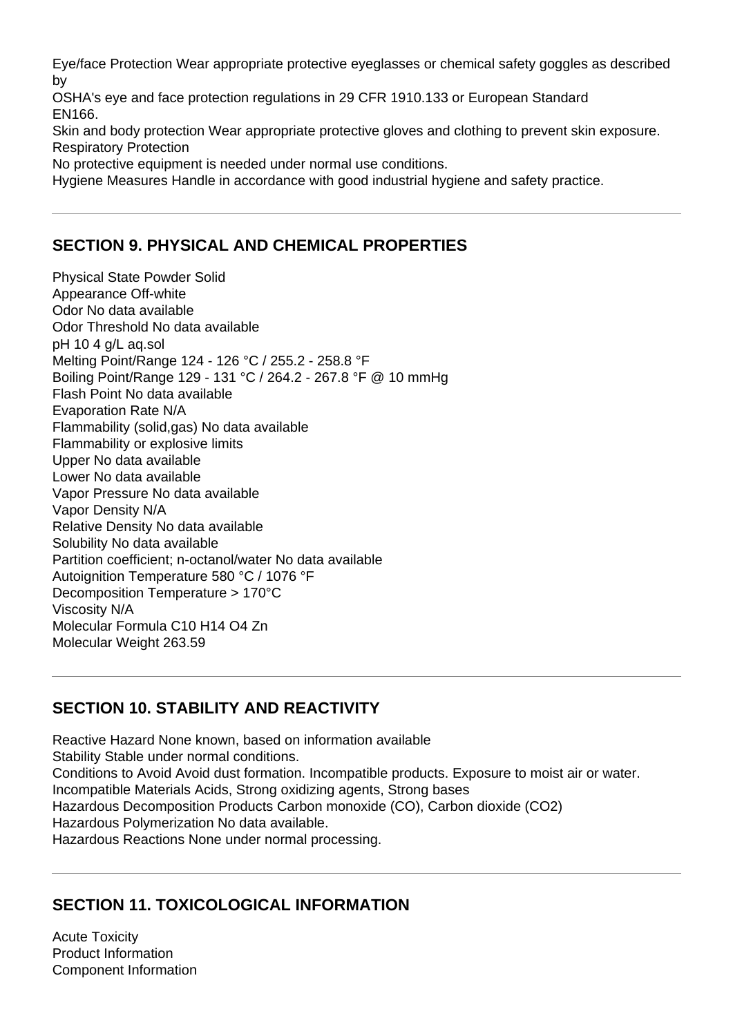Eye/face Protection Wear appropriate protective eyeglasses or chemical safety goggles as described by

OSHA's eye and face protection regulations in 29 CFR 1910.133 or European Standard EN166.

Skin and body protection Wear appropriate protective gloves and clothing to prevent skin exposure. Respiratory Protection

No protective equipment is needed under normal use conditions.

Hygiene Measures Handle in accordance with good industrial hygiene and safety practice.

# **SECTION 9. PHYSICAL AND CHEMICAL PROPERTIES**

Physical State Powder Solid Appearance Off-white Odor No data available Odor Threshold No data available pH 10 4 g/L aq.sol Melting Point/Range 124 - 126 °C / 255.2 - 258.8 °F Boiling Point/Range 129 - 131 °C / 264.2 - 267.8 °F @ 10 mmHg Flash Point No data available Evaporation Rate N/A Flammability (solid,gas) No data available Flammability or explosive limits Upper No data available Lower No data available Vapor Pressure No data available Vapor Density N/A Relative Density No data available Solubility No data available Partition coefficient; n-octanol/water No data available Autoignition Temperature 580 °C / 1076 °F Decomposition Temperature > 170°C Viscosity N/A Molecular Formula C10 H14 O4 Zn Molecular Weight 263.59

# **SECTION 10. STABILITY AND REACTIVITY**

Reactive Hazard None known, based on information available Stability Stable under normal conditions. Conditions to Avoid Avoid dust formation. Incompatible products. Exposure to moist air or water. Incompatible Materials Acids, Strong oxidizing agents, Strong bases Hazardous Decomposition Products Carbon monoxide (CO), Carbon dioxide (CO2) Hazardous Polymerization No data available. Hazardous Reactions None under normal processing.

# **SECTION 11. TOXICOLOGICAL INFORMATION**

Acute Toxicity Product Information Component Information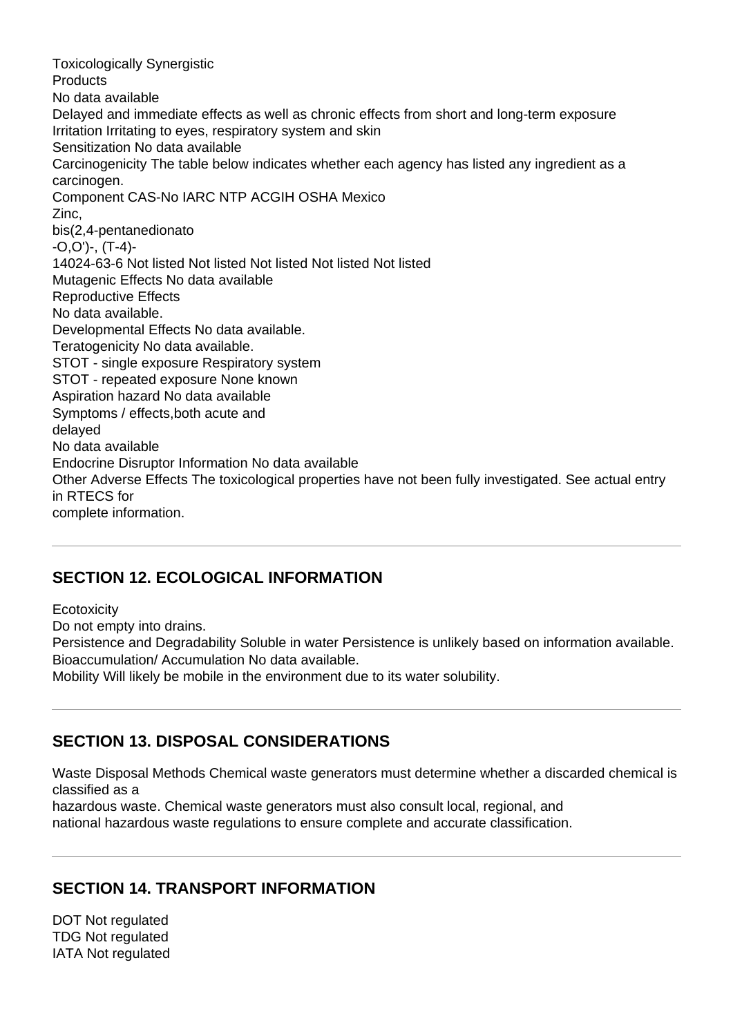Toxicologically Synergistic **Products** No data available Delayed and immediate effects as well as chronic effects from short and long-term exposure Irritation Irritating to eyes, respiratory system and skin Sensitization No data available Carcinogenicity The table below indicates whether each agency has listed any ingredient as a carcinogen. Component CAS-No IARC NTP ACGIH OSHA Mexico Zinc, bis(2,4-pentanedionato -O,O')-, (T-4)- 14024-63-6 Not listed Not listed Not listed Not listed Not listed Mutagenic Effects No data available Reproductive Effects No data available. Developmental Effects No data available. Teratogenicity No data available. STOT - single exposure Respiratory system STOT - repeated exposure None known Aspiration hazard No data available Symptoms / effects,both acute and delayed No data available Endocrine Disruptor Information No data available Other Adverse Effects The toxicological properties have not been fully investigated. See actual entry in RTECS for complete information.

#### **SECTION 12. ECOLOGICAL INFORMATION**

**Ecotoxicity** 

Do not empty into drains.

Persistence and Degradability Soluble in water Persistence is unlikely based on information available. Bioaccumulation/ Accumulation No data available.

Mobility Will likely be mobile in the environment due to its water solubility.

#### **SECTION 13. DISPOSAL CONSIDERATIONS**

Waste Disposal Methods Chemical waste generators must determine whether a discarded chemical is classified as a

hazardous waste. Chemical waste generators must also consult local, regional, and national hazardous waste regulations to ensure complete and accurate classification.

#### **SECTION 14. TRANSPORT INFORMATION**

DOT Not regulated TDG Not regulated IATA Not regulated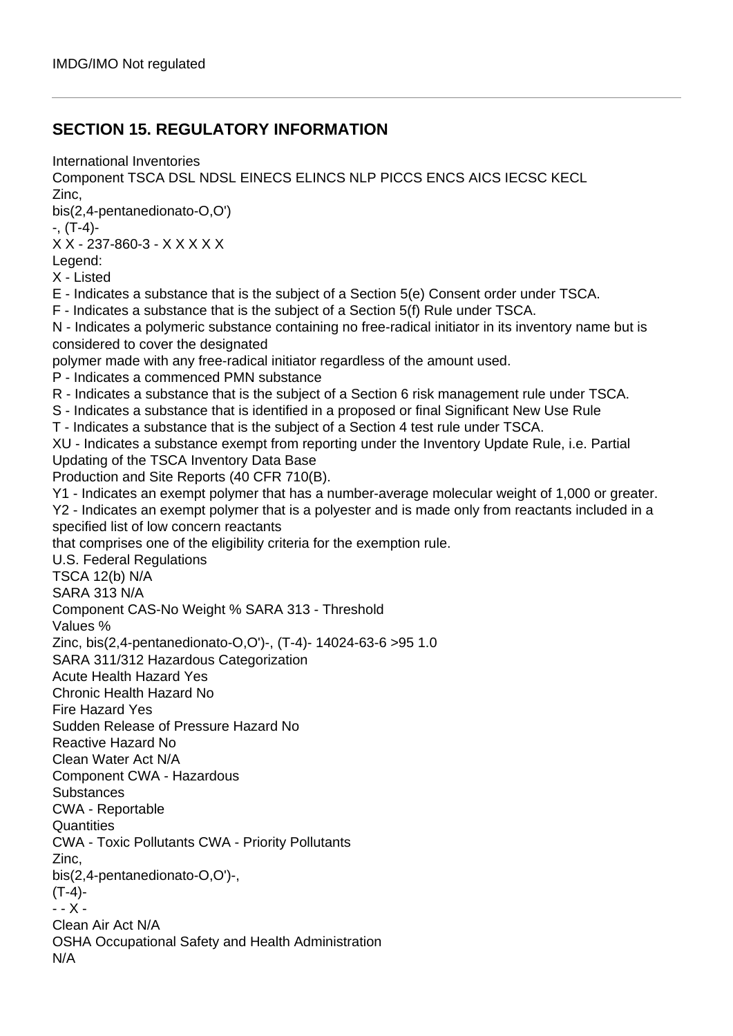#### **SECTION 15. REGULATORY INFORMATION**

International Inventories Component TSCA DSL NDSL EINECS ELINCS NLP PICCS ENCS AICS IECSC KECL Zinc, bis(2,4-pentanedionato-O,O') -, (T-4)- X X - 237-860-3 - X X X X X Legend: X - Listed E - Indicates a substance that is the subject of a Section 5(e) Consent order under TSCA. F - Indicates a substance that is the subject of a Section 5(f) Rule under TSCA. N - Indicates a polymeric substance containing no free-radical initiator in its inventory name but is considered to cover the designated polymer made with any free-radical initiator regardless of the amount used. P - Indicates a commenced PMN substance R - Indicates a substance that is the subject of a Section 6 risk management rule under TSCA. S - Indicates a substance that is identified in a proposed or final Significant New Use Rule T - Indicates a substance that is the subject of a Section 4 test rule under TSCA. XU - Indicates a substance exempt from reporting under the Inventory Update Rule, i.e. Partial Updating of the TSCA Inventory Data Base Production and Site Reports (40 CFR 710(B). Y1 - Indicates an exempt polymer that has a number-average molecular weight of 1,000 or greater. Y2 - Indicates an exempt polymer that is a polyester and is made only from reactants included in a specified list of low concern reactants that comprises one of the eligibility criteria for the exemption rule. U.S. Federal Regulations TSCA 12(b) N/A SARA 313 N/A Component CAS-No Weight % SARA 313 - Threshold Values % Zinc, bis(2,4-pentanedionato-O,O')-, (T-4)- 14024-63-6 >95 1.0 SARA 311/312 Hazardous Categorization Acute Health Hazard Yes Chronic Health Hazard No Fire Hazard Yes Sudden Release of Pressure Hazard No Reactive Hazard No Clean Water Act N/A Component CWA - Hazardous **Substances** CWA - Reportable **Quantities** CWA - Toxic Pollutants CWA - Priority Pollutants Zinc, bis(2,4-pentanedionato-O,O')-,  $(T-4)$ -- - X - Clean Air Act N/A OSHA Occupational Safety and Health Administration N/A